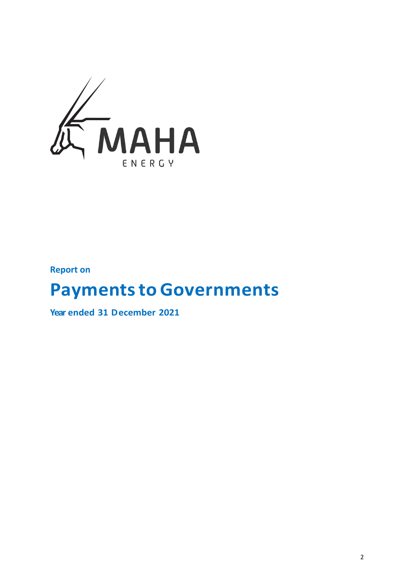

**Report on**

# **Payments to Governments**

**Year ended 31 December 2021**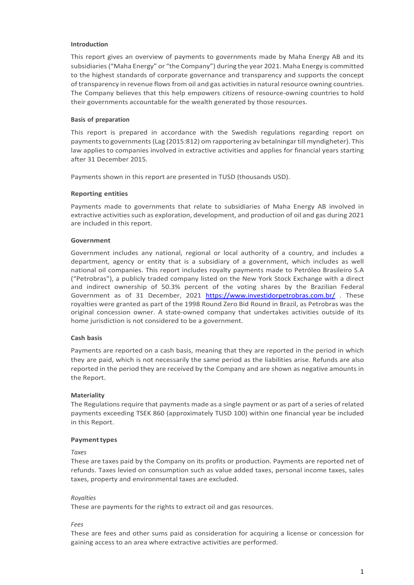## **Introduction**

This report gives an overview of payments to governments made by Maha Energy AB and its subsidiaries ("Maha Energy" or "the Company") during the year 2021. Maha Energy is committed to the highest standards of corporate governance and transparency and supports the concept of transparency in revenue flows from oil and gas activities in natural resource owning countries. The Company believes that this help empowers citizens of resource-owning countries to hold their governments accountable for the wealth generated by those resources.

## **Basis of preparation**

This report is prepared in accordance with the Swedish regulations regarding report on payments to governments (Lag (2015:812) om rapportering av betalningar till myndigheter). This law applies to companies involved in extractive activities and applies for financial years starting after 31 December 2015.

Payments shown in this report are presented in TUSD (thousands USD).

## **Reporting entities**

Payments made to governments that relate to subsidiaries of Maha Energy AB involved in extractive activities such as exploration, development, and production of oil and gas during 2021 are included in this report.

# **Government**

Government includes any national, regional or local authority of a country, and includes a department, agency or entity that is a subsidiary of a government, which includes as well national oil companies. This report includes royalty payments made to Petróleo Brasileiro S.A ("Petrobras"), a publicly traded company listed on the New York Stock Exchange with a direct and indirect ownership of 50.3% percent of the voting shares by the Brazilian Federal Government as of 31 December, 2021 <https://www.investidorpetrobras.com.br/>. These royalties were granted as part of the 1998 Round Zero Bid Round in Brazil, as Petrobras was the original concession owner. A state-owned company that undertakes activities outside of its home jurisdiction is not considered to be a government.

#### **Cash basis**

Payments are reported on a cash basis, meaning that they are reported in the period in which they are paid, which is not necessarily the same period as the liabilities arise. Refunds are also reported in the period they are received by the Company and are shown as negative amounts in the Report.

# **Materiality**

The Regulations require that payments made as a single payment or as part of a series of related payments exceeding TSEK 860 (approximately TUSD 100) within one financial year be included in this Report.

#### **Paymenttypes**

#### *Taxes*

These are taxes paid by the Company on its profits or production. Payments are reported net of refunds. Taxes levied on consumption such as value added taxes, personal income taxes, sales taxes, property and environmental taxes are excluded.

# *Royalties*

These are payments for the rights to extract oil and gas resources.

*Fees*

These are fees and other sums paid as consideration for acquiring a license or concession for gaining access to an area where extractive activities are performed.